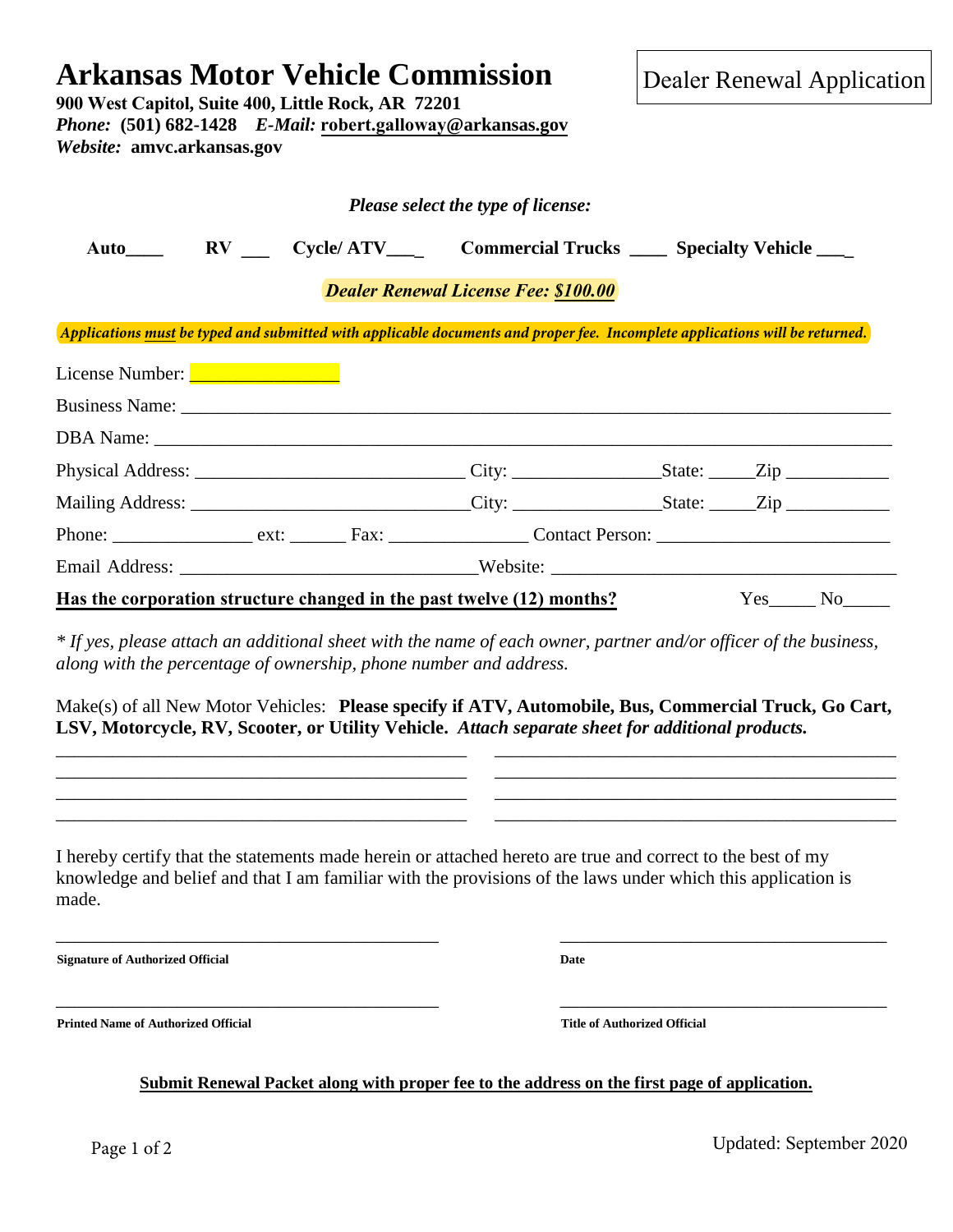## **900 West Capitol, Suite 400, Little Rock, AR 72201** *Phone:* **(501) 682-1428** *E-Mail:* **robert.galloway@arkansas.gov** *Website:* **amvc.arkansas.gov** *Please select the type of license:*  Auto\_\_\_\_ **RV** Cycle/ATV\_\_\_ Commercial Trucks \_\_\_\_\_ Specialty Vehicle \_\_\_ *Dealer Renewal License Fee: \$100.00* License Number: **\_\_\_\_\_\_\_\_\_\_\_\_\_\_\_\_\_\_\_\_** Business Name: DBA Name: Physical Address: \_\_\_\_\_\_\_\_\_\_\_\_\_\_\_\_\_\_\_\_\_\_\_\_\_\_\_\_\_ City: \_\_\_\_\_\_\_\_\_\_\_\_\_\_\_\_State: \_\_\_\_\_Zip \_\_\_\_\_\_\_\_\_\_\_ Mailing Address: \_\_\_\_\_\_\_\_\_\_\_\_\_\_\_\_\_\_\_\_\_\_\_\_\_\_\_\_\_\_City: \_\_\_\_\_\_\_\_\_\_\_\_\_\_\_\_State: \_\_\_\_\_Zip \_\_\_\_\_\_\_\_\_\_\_ Phone: \_\_\_\_\_\_\_\_\_\_\_\_\_\_\_ ext: \_\_\_\_\_\_ Fax: \_\_\_\_\_\_\_\_\_\_\_\_\_\_\_ Contact Person: \_\_\_\_\_\_\_\_\_\_\_\_\_\_\_\_\_\_\_\_\_\_\_\_\_ Email Address: Website: Has the corporation structure changed in the past twelve (12) months? Yes No *\* If yes, please attach an additional sheet with the name of each owner, partner and/or officer of the business, along with the percentage of ownership, phone number and address.* Make(s) of all New Motor Vehicles: **Please specify if ATV, Automobile, Bus, Commercial Truck, Go Cart, LSV, Motorcycle, RV, Scooter, or Utility Vehicle.** *Attach separate sheet for additional products.* \_\_\_\_\_\_\_\_\_\_\_\_\_\_\_\_\_\_\_\_\_\_\_\_\_\_\_\_\_\_\_\_\_\_\_\_\_\_\_\_\_\_\_\_ \_\_\_\_\_\_\_\_\_\_\_\_\_\_\_\_\_\_\_\_\_\_\_\_\_\_\_\_\_\_\_\_\_\_\_\_\_\_\_\_\_\_\_ \_\_\_\_\_\_\_\_\_\_\_\_\_\_\_\_\_\_\_\_\_\_\_\_\_\_\_\_\_\_\_\_\_\_\_\_\_\_\_\_\_\_\_\_ \_\_\_\_\_\_\_\_\_\_\_\_\_\_\_\_\_\_\_\_\_\_\_\_\_\_\_\_\_\_\_\_\_\_\_\_\_\_\_\_\_\_\_ \_\_\_\_\_\_\_\_\_\_\_\_\_\_\_\_\_\_\_\_\_\_\_\_\_\_\_\_\_\_\_\_\_\_\_\_\_\_\_\_\_\_\_\_ \_\_\_\_\_\_\_\_\_\_\_\_\_\_\_\_\_\_\_\_\_\_\_\_\_\_\_\_\_\_\_\_\_\_\_\_\_\_\_\_\_\_\_ \_\_\_\_\_\_\_\_\_\_\_\_\_\_\_\_\_\_\_\_\_\_\_\_\_\_\_\_\_\_\_\_\_\_\_\_\_\_\_\_\_\_\_\_ \_\_\_\_\_\_\_\_\_\_\_\_\_\_\_\_\_\_\_\_\_\_\_\_\_\_\_\_\_\_\_\_\_\_\_\_\_\_\_\_\_\_\_ I hereby certify that the statements made herein or attached hereto are true and correct to the best of my knowledge and belief and that I am familiar with the provisions of the laws under which this application is made. \_\_\_\_\_\_\_\_\_\_\_\_\_\_\_\_\_\_\_\_\_\_\_\_\_\_\_\_\_\_\_\_\_\_\_\_\_\_\_\_\_ \_\_\_\_\_\_\_\_\_\_\_\_\_\_\_\_\_\_\_\_\_\_\_\_\_\_\_\_\_\_\_\_\_\_\_ **Signature of Authorized Official Date** *Applications must be typed and submitted with applicable documents and proper fee. Incomplete applications will be returned.*

**Arkansas Motor Vehicle Commission**

**Printed Name of Authorized Official Title of Authorized Official**

**Submit Renewal Packet along with proper fee to the address on the first page of application.**

\_\_\_\_\_\_\_\_\_\_\_\_\_\_\_\_\_\_\_\_\_\_\_\_\_\_\_\_\_\_\_\_\_\_\_\_\_\_\_\_\_ \_\_\_\_\_\_\_\_\_\_\_\_\_\_\_\_\_\_\_\_\_\_\_\_\_\_\_\_\_\_\_\_\_\_\_

Dealer Renewal Application